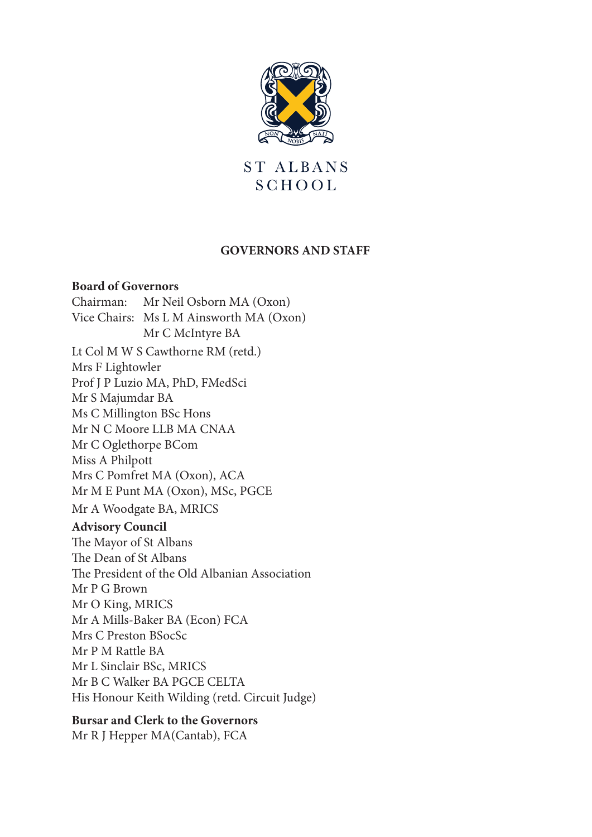

ST ALBANS SCHOOL

### **GOVERNORS AND STAFF**

#### **Board of Governors**

Chairman: Mr Neil Osborn MA (Oxon) Vice Chairs: Ms L M Ainsworth MA (Oxon) Mr C McIntyre BA Lt Col M W S Cawthorne RM (retd.) Mrs F Lightowler Prof J P Luzio MA, PhD, FMedSci Mr S Majumdar BA Ms C Millington BSc Hons Mr N C Moore LLB MA CNAA Mr C Oglethorpe BCom Miss A Philpott Mrs C Pomfret MA (Oxon), ACA Mr M E Punt MA (Oxon), MSc, PGCE Mr A Woodgate BA, MRICS **Advisory Council** The Mayor of St Albans The Dean of St Albans The President of the Old Albanian Association Mr P G Brown Mr O King, MRICS Mr A Mills-Baker BA (Econ) FCA Mrs C Preston BSocSc Mr P M Rattle BA Mr L Sinclair BSc, MRICS Mr B C Walker BA PGCE CELTA His Honour Keith Wilding (retd. Circuit Judge)

#### **Bursar and Clerk to the Governors**

Mr R J Hepper MA(Cantab), FCA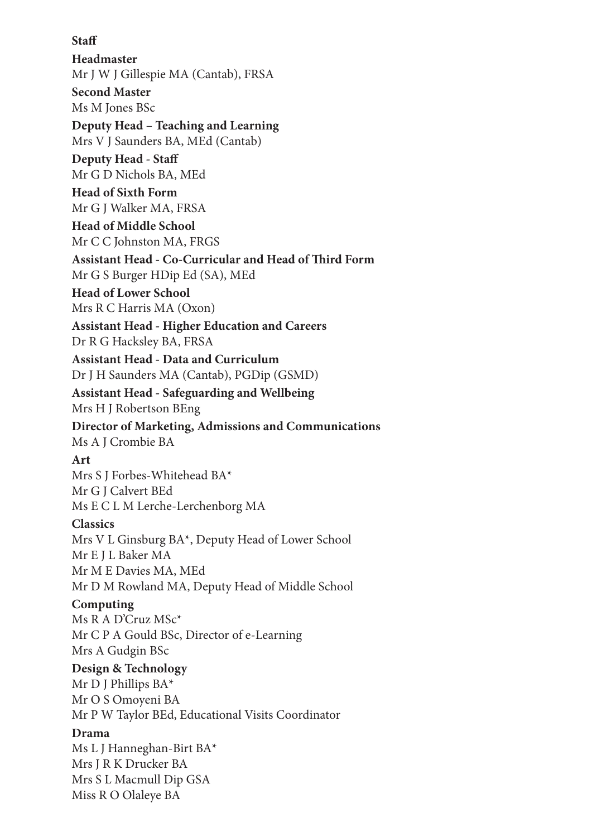### **Staff**

**Headmaster** Mr J W J Gillespie MA (Cantab), FRSA **Second Master** Ms M Jones BSc

**Deputy Head – Teaching and Learning** Mrs V J Saunders BA, MEd (Cantab)

**Deputy Head - Staff** Mr G D Nichols BA, MEd

**Head of Sixth Form** Mr G J Walker MA, FRSA

**Head of Middle School** Mr C C Johnston MA, FRGS

**Assistant Head - Co-Curricular and Head of Third Form** Mr G S Burger HDip Ed (SA), MEd

**Head of Lower School** Mrs R C Harris MA (Oxon)

**Assistant Head - Higher Education and Careers** Dr R G Hacksley BA, FRSA

**Assistant Head - Data and Curriculum** Dr J H Saunders MA (Cantab), PGDip (GSMD)

**Assistant Head - Safeguarding and Wellbeing** Mrs H J Robertson BEng

**Director of Marketing, Admissions and Communications** Ms A J Crombie BA

## **Art**

Mrs S J Forbes-Whitehead BA\* Mr G J Calvert BEd Ms E C L M Lerche-Lerchenborg MA

### **Classics**

Mrs V L Ginsburg BA\*, Deputy Head of Lower School Mr E J L Baker MA Mr M E Davies MA, MEd Mr D M Rowland MA, Deputy Head of Middle School

## **Computing**

Ms R A D'Cruz MSc\* Mr C P A Gould BSc, Director of e-Learning Mrs A Gudgin BSc

### **Design & Technology**

Mr D J Phillips BA\* Mr O S Omoyeni BA Mr P W Taylor BEd, Educational Visits Coordinator

### **Drama**

Ms L J Hanneghan-Birt BA\* Mrs J R K Drucker BA Mrs S L Macmull Dip GSA Miss R O Olaleye BA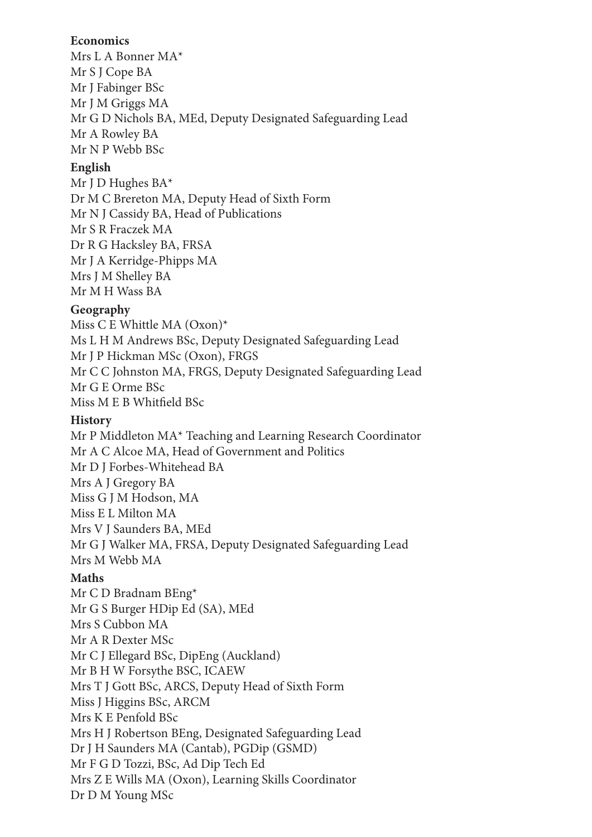### **Economics**

Mrs L A Bonner MA\* Mr S J Cope BA Mr J Fabinger BSc Mr J M Griggs MA Mr G D Nichols BA, MEd, Deputy Designated Safeguarding Lead Mr A Rowley BA Mr N P Webb BSc

### **English**

Mr J D Hughes BA\* Dr M C Brereton MA, Deputy Head of Sixth Form Mr N J Cassidy BA, Head of Publications Mr S R Fraczek MA Dr R G Hacksley BA, FRSA Mr J A Kerridge-Phipps MA Mrs J M Shelley BA Mr M H Wass BA

## **Geography**

Miss C E Whittle MA (Oxon)\* Ms L H M Andrews BSc, Deputy Designated Safeguarding Lead Mr J P Hickman MSc (Oxon), FRGS Mr C C Johnston MA, FRGS, Deputy Designated Safeguarding Lead Mr G E Orme BSc Miss M E B Whitfield BSc

### **History**

Mr P Middleton MA\* Teaching and Learning Research Coordinator Mr A C Alcoe MA, Head of Government and Politics Mr D J Forbes-Whitehead BA Mrs A J Gregory BA Miss G J M Hodson, MA Miss E L Milton MA Mrs V J Saunders BA, MEd Mr G J Walker MA, FRSA, Deputy Designated Safeguarding Lead Mrs M Webb MA

## **Maths**

Mr C D Bradnam BEng\* Mr G S Burger HDip Ed (SA), MEd Mrs S Cubbon MA Mr A R Dexter MSc Mr C J Ellegard BSc, DipEng (Auckland) Mr B H W Forsythe BSC, ICAEW Mrs T J Gott BSc, ARCS, Deputy Head of Sixth Form Miss J Higgins BSc, ARCM Mrs K E Penfold BSc Mrs H J Robertson BEng, Designated Safeguarding Lead Dr J H Saunders MA (Cantab), PGDip (GSMD) Mr F G D Tozzi, BSc, Ad Dip Tech Ed Mrs Z E Wills MA (Oxon), Learning Skills Coordinator Dr D M Young MSc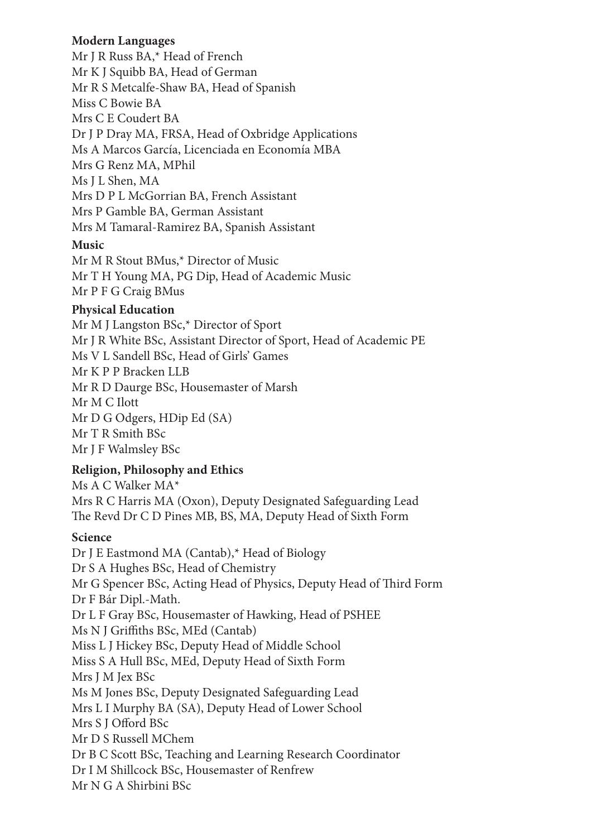## **Modern Languages**

Mr J R Russ BA,\* Head of French Mr K J Squibb BA, Head of German Mr R S Metcalfe-Shaw BA, Head of Spanish Miss C Bowie BA Mrs C E Coudert BA Dr J P Dray MA, FRSA, Head of Oxbridge Applications Ms A Marcos García, Licenciada en Economía MBA Mrs G Renz MA, MPhil Ms J L Shen, MA Mrs D P L McGorrian BA, French Assistant Mrs P Gamble BA, German Assistant Mrs M Tamaral-Ramirez BA, Spanish Assistant

## **Music**

Mr M R Stout BMus,\* Director of Music Mr T H Young MA, PG Dip, Head of Academic Music Mr P F G Craig BMus

# **Physical Education**

Mr M J Langston BSc,\* Director of Sport Mr J R White BSc, Assistant Director of Sport, Head of Academic PE Ms V L Sandell BSc, Head of Girls' Games Mr K P P Bracken LLB Mr R D Daurge BSc, Housemaster of Marsh Mr M C Ilott Mr D G Odgers, HDip Ed (SA) Mr T R Smith BSc Mr J F Walmsley BSc

# **Religion, Philosophy and Ethics**

Ms A C Walker MA\* Mrs R C Harris MA (Oxon), Deputy Designated Safeguarding Lead The Revd Dr C D Pines MB, BS, MA, Deputy Head of Sixth Form

# **Science**

Dr J E Eastmond MA (Cantab),\* Head of Biology Dr S A Hughes BSc, Head of Chemistry Mr G Spencer BSc, Acting Head of Physics, Deputy Head of Third Form Dr F Bár Dipl.-Math. Dr L F Gray BSc, Housemaster of Hawking, Head of PSHEE Ms N J Griffiths BSc, MEd (Cantab) Miss L J Hickey BSc, Deputy Head of Middle School Miss S A Hull BSc, MEd, Deputy Head of Sixth Form Mrs J M Jex BSc Ms M Jones BSc, Deputy Designated Safeguarding Lead Mrs L I Murphy BA (SA), Deputy Head of Lower School Mrs S J Offord BSc Mr D S Russell MChem Dr B C Scott BSc, Teaching and Learning Research Coordinator Dr I M Shillcock BSc, Housemaster of Renfrew Mr N G A Shirbini BSc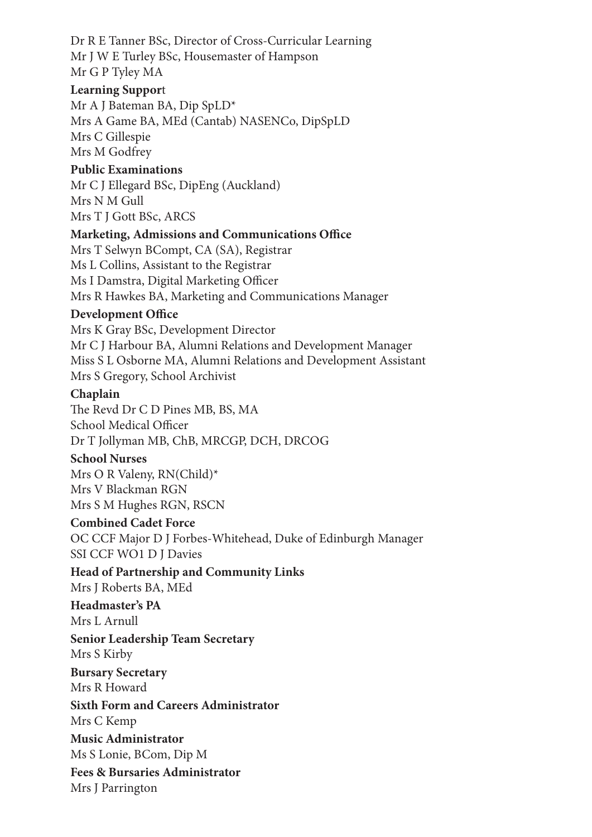Dr R E Tanner BSc, Director of Cross-Curricular Learning Mr J W E Turley BSc, Housemaster of Hampson Mr G P Tyley MA

### **Learning Suppor**t

Mr A J Bateman BA, Dip SpLD\* Mrs A Game BA, MEd (Cantab) NASENCo, DipSpLD Mrs C Gillespie Mrs M Godfrey

### **Public Examinations**

Mr C J Ellegard BSc, DipEng (Auckland) Mrs N M Gull Mrs T J Gott BSc, ARCS

### **Marketing, Admissions and Communications Office**

Mrs T Selwyn BCompt, CA (SA), Registrar Ms L Collins, Assistant to the Registrar Ms I Damstra, Digital Marketing Officer Mrs R Hawkes BA, Marketing and Communications Manager

### **Development Office**

Mrs K Gray BSc, Development Director Mr C J Harbour BA, Alumni Relations and Development Manager Miss S L Osborne MA, Alumni Relations and Development Assistant Mrs S Gregory, School Archivist

### **Chaplain**

The Revd Dr C D Pines MB, BS, MA School Medical Officer Dr T Jollyman MB, ChB, MRCGP, DCH, DRCOG

#### **School Nurses**

Mrs O R Valeny, RN(Child)\* Mrs V Blackman RGN Mrs S M Hughes RGN, RSCN

### **Combined Cadet Force**

OC CCF Major D J Forbes-Whitehead, Duke of Edinburgh Manager SSI CCF WO1 D J Davies

### **Head of Partnership and Community Links**

Mrs J Roberts BA, MEd

#### **Headmaster's PA** Mrs L Arnull

**Senior Leadership Team Secretary** Mrs S Kirby

### **Bursary Secretary** Mrs R Howard

**Sixth Form and Careers Administrator** Mrs C Kemp

**Music Administrator** Ms S Lonie, BCom, Dip M

**Fees & Bursaries Administrator**

Mrs J Parrington